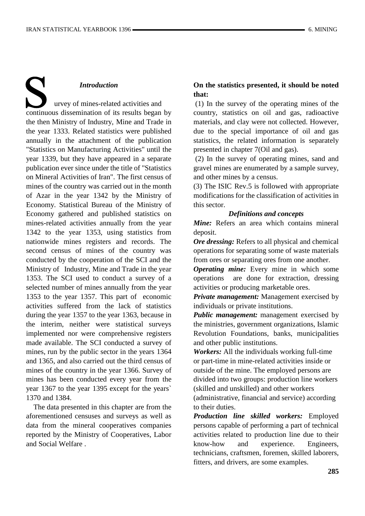# *Introduction*

 urvey of mines-related activities and continuous dissemination of its results began by the then Ministry of Industry, Mine and Trade in the year 1333. Related statistics were published annually in the attachment of the publication "Statistics on Manufacturing Activities" until the year 1339, but they have appeared in a separate publication ever since under the title of "Statistics on Mineral Activities of Iran". The first census of mines of the country was carried out in the month of Azar in the year 1342 by the Ministry of Economy. Statistical Bureau of the Ministry of Economy gathered and published statistics on mines-related activities annually from the year 1342 to the year 1353, using statistics from nationwide mines registers and records. The second census of mines of the country was conducted by the cooperation of the SCI and the Ministry of Industry, Mine and Trade in the year 1353. The SCI used to conduct a survey of a selected number of mines annually from the year 1353 to the year 1357. This part of economic activities suffered from the lack of statistics during the year 1357 to the year 1363, because in the interim, neither were statistical surveys implemented nor were comprehensive registers made available. The SCI conducted a survey of mines, run by the public sector in the years 1364 and 1365, and also carried out the third census of mines of the country in the year 1366. Survey of mines has been conducted every year from the year 1367 to the year 1395 except for the years` 1370 and 1384.

 The data presented in this chapter are from the aforementioned censuses and surveys as well as data from the mineral cooperatives companies reported by the Ministry of Cooperatives, Labor and Social Welfare .

### **On the statistics presented, it should be noted that:**

(1) In the survey of the operating mines of the country, statistics on oil and gas, radioactive materials, and clay were not collected. However, due to the special importance of oil and gas statistics, the related information is separately presented in chapter 7(Oil and gas).

(2) In the survey of operating mines, sand and gravel mines are enumerated by a sample survey, and other mines by a census.

(3) The ISIC Rev.5 is followed with appropriate modifications for the classification of activities in this sector.

### *Definitions and concepts*

*Mine:* Refers an area which contains mineral deposit.

*Ore dressing:* Refers to all physical and chemical operations for separating some of waste materials from ores or separating ores from one another.

*Operating mine:* Every mine in which some operations are done for extraction, dressing activities or producing marketable ores.

*Private management:* Management exercised by individuals or private institutions.

*Public management:* management exercised by the ministries, government organizations, Islamic Revolution Foundations, banks, municipalities and other public institutions.

*Workers:* All the individuals working full-time or part-time in mine-related activities inside or outside of the mine. The employed persons are divided into two groups: production line workers (skilled and unskilled) and other workers

(administrative, financial and service) according to their duties.

*Production line skilled workers:* Employed persons capable of performing a part of technical activities related to production line due to their know-how and experience. Engineers, technicians, craftsmen, foremen, skilled laborers, fitters, and drivers, are some examples.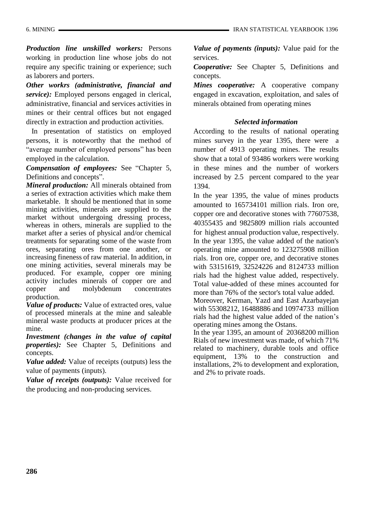*Production line unskilled workers:* Persons working in production line whose jobs do not require any specific training or experience; such as laborers and porters.

*Other workrs (administrative, financial and service):* Employed persons engaged in clerical, administrative, financial and services activities in mines or their central offices but not engaged directly in extraction and production activities.

 In presentation of statistics on employed persons, it is noteworthy that the method of "average number of employed persons" has been employed in the calculation.

*Compensation of employees:* See "Chapter 5, Definitions and concepts".

*Mineral production:* All minerals obtained from a series of extraction activities which make them marketable. It should be mentioned that in some mining activities, minerals are supplied to the market without undergoing dressing process, whereas in others, minerals are supplied to the market after a series of physical and/or chemical treatments for separating some of the waste from ores, separating ores from one another, or increasing fineness of raw material. In addition, in one mining activities, several minerals may be produced. For example, copper ore mining activity includes minerals of copper ore and copper and molybdenum concentrates production.

*Value of products:* Value of extracted ores, value of processed minerals at the mine and saleable mineral waste products at producer prices at the mine.

*Investment (changes in the value of capital properties):* See Chapter 5, Definitions and concepts.

*Value added:* Value of receipts (outputs) less the value of payments (inputs).

*Value of receipts (outputs):* Value received for the producing and non-producing services.

*Value of payments (inputs):* Value paid for the services.

*Cooperative:* See Chapter 5, Definitions and concepts.

*Mines cooperative:* A cooperative company engaged in excavation, exploitation, and sales of minerals obtained from operating mines

### *Selected information*

According to the results of national operating mines survey in the year 1395, there were a number of 4913 operating mines. The results show that a total of 93486 workers were working in these mines and the number of workers increased by 2.5 percent compared to the year 1394.

In the year 1395, the value of mines products amounted to 165734101 million rials. Iron ore, copper ore and decorative stones with 77607538, 40355435 and 9825809 million rials accounted for highest annual production value, respectively. In the year 1395, the value added of the nation's operating mine amounted to 123275908 million rials. Iron ore, copper ore, and decorative stones with 53151619, 32524226 and 8124733 million rials had the highest value added, respectively. Total value-added of these mines accounted for more than 76% of the sector's total value added.

Moreover, Kerman, Yazd and East Azarbayejan with 55308212, 16488886 and 10974733 million rials had the highest value added of the nation's operating mines among the Ostans.

In the year 1395, an amount of 20368200 million Rials of new investment was made, of which 71% related to machinery, durable tools and office equipment, 13% to the construction and installations, 2% to development and exploration, and 2% to private roads.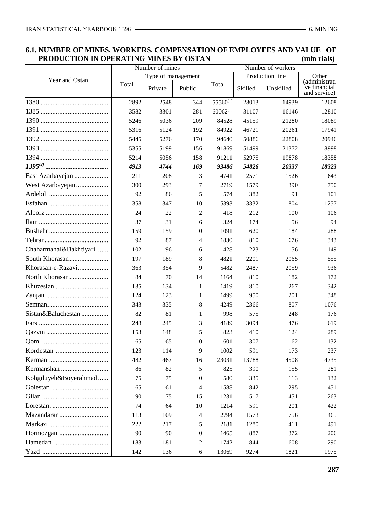|                        | Number of mines |                    |                  |               |                 |           |                                               |
|------------------------|-----------------|--------------------|------------------|---------------|-----------------|-----------|-----------------------------------------------|
|                        |                 | Type of management |                  |               | Production line |           |                                               |
| Year and Ostan         | Total           | Private            | Public           | Total         | Skilled         | Unskilled | (administrati<br>ve financial<br>and service) |
|                        | 2892            | 2548               | 344              | $55560^{(1)}$ | 28013           | 14939     | 12608                                         |
|                        | 3582            | 3301               | 281              | $60062^{(1)}$ | 31107           | 16146     | 12810                                         |
|                        | 5246            | 5036               | 209              | 84528         | 45159           | 21280     | 18089                                         |
|                        | 5316            | 5124               | 192              | 84922         | 46721           | 20261     | 17941                                         |
|                        | 5445            | 5276               | 170              | 94640         | 50886           | 22808     | 20946                                         |
|                        | 5355            | 5199               | 156              | 91869         | 51499           | 21372     | 18998                                         |
|                        | 5214            | 5056               | 158              | 91211         | 52975           | 19878     | 18358                                         |
|                        | 4913            | 4744               | 169              | 93486         | 54826           | 20337     | 18323                                         |
| East Azarbayejan       | 211             | 208                | 3                | 4741          | 2571            | 1526      | 643                                           |
| West Azarbayejan       | 300             | 293                | 7                | 2719          | 1579            | 390       | 750                                           |
|                        | 92              | 86                 | 5                | 574           | 382             | 91        | 101                                           |
|                        | 358             | 347                | 10               | 5393          | 3332            | 804       | 1257                                          |
|                        | 24              | 22                 | 2                | 418           | 212             | 100       | 106                                           |
|                        | 37              | 31                 | 6                | 324           | 174             | 56        | 94                                            |
|                        | 159             | 159                | $\boldsymbol{0}$ | 1091          | 620             | 184       | 288                                           |
|                        | 92              | 87                 | 4                | 1830          | 810             | 676       | 343                                           |
| Chaharmahal&Bakhtiyari | 102             | 96                 | 6                | 428           | 223             | 56        | 149                                           |
| South Khorasan         | 197             | 189                | 8                | 4821          | 2201            | 2065      | 555                                           |
| Khorasan-e-Razavi      | 363             | 354                | 9                | 5482          | 2487            | 2059      | 936                                           |
|                        | 84              | 70                 | 14               | 1164          | 810             | 182       | 172                                           |
|                        | 135             | 134                | 1                | 1419          | 810             | 267       | 342                                           |
|                        | 124             | 123                | 1                | 1499          | 950             | 201       | 348                                           |
|                        | 343             | 335                | 8                | 4249          | 2366            | 807       | 1076                                          |
| Sistan&Baluchestan     | 82              | 81                 | $\mathbf{1}$     | 998           | 575             | 248       | 176                                           |
|                        | 248             | 245                | 3                | 4189          | 3094            | 476       | 619                                           |
|                        | 153             | 148                | 5                | 823           | 410             | 124       | 289                                           |
|                        | 65              | 65                 | $\theta$         | 601           | 307             | 162       | 132                                           |
|                        | 123             | 114                | 9                | 1002          | 591             | 173       | 237                                           |
|                        | 482             | 467                | 16               | 23031         | 13788           | 4508      | 4735                                          |
| Kermanshah             | 86              | 82                 | 5                | 825           | 390             | 155       | 281                                           |
| Kohgiluyeh&Boyerahmad  | 75              | 75                 | 0                | 580           | 335             | 113       | 132                                           |
|                        | 65              | 61                 | 4                | 1588          | 842             | 295       | 451                                           |
|                        | 90              | 75                 | 15               | 1231          | 517             | 451       | 263                                           |
|                        | 74              | 64                 | 10               | 1214          | 591             | 201       | 422                                           |
|                        | 113             | 109                | 4                | 2794          | 1573            | 756       | 465                                           |
|                        | 222             | 217                | 5                | 2181          | 1280            | 411       | 491                                           |
|                        | 90              | 90                 | $\mathbf{0}$     | 1465          | 887             | 372       | 206                                           |
|                        | 183             | 181                | 2                | 1742          | 844             | 608       | 290                                           |
|                        | 142             | 136                | 6                | 13069         | 9274            | 1821      | 1975                                          |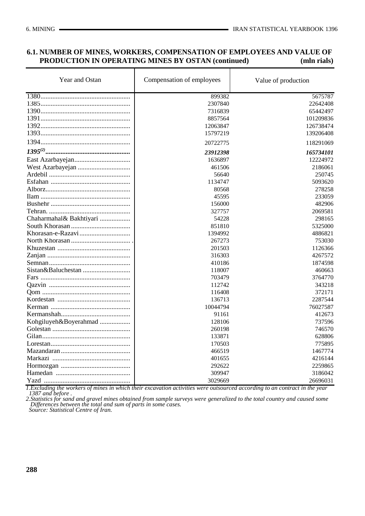# **6.1. NUMBER OF MINES, WORKERS, COMPENSATION OF EMPLOYEES AND VALUE OF PRODUCTION IN OPERATING MINES BY OSTAN (continued)** (mln rials)

| Year and Ostan          | Compensation of employees | Value of production |
|-------------------------|---------------------------|---------------------|
|                         | 899382                    | 5675787             |
|                         | 2307840                   | 22642408            |
|                         | 7316839                   | 65442497            |
|                         | 8857564                   | 101209836           |
|                         | 12063847                  | 126738474           |
|                         | 15797219                  | 139206408           |
|                         | 20722775                  | 118291069           |
|                         | 23912398                  | 165734101           |
|                         | 1636897                   | 12224972            |
|                         | 461506                    | 2186061             |
|                         | 56640                     | 250745              |
|                         | 1134747                   | 5093620             |
|                         | 80568                     | 278258              |
|                         | 45595                     | 233059              |
|                         | 156000                    | 482906              |
|                         | 327757                    | 2069581             |
| Chaharmahal& Bakhtiyari | 54228                     | 298165              |
|                         | 851810                    | 5325000             |
|                         | 1394992                   | 4886821             |
|                         | 267273                    | 753030              |
|                         | 201503                    | 1126366             |
|                         | 316303                    | 4267572             |
|                         | 410186                    | 1874598             |
|                         | 118007                    | 460663              |
|                         | 703479                    | 3764770             |
|                         | 112742                    | 343218              |
|                         | 116408                    | 372171              |
|                         | 136713                    | 2287544             |
|                         | 10044794                  | 76027587            |
|                         | 91161                     | 412673              |
| Kohgiluyeh&Boyerahmad   | 128106                    | 737596              |
|                         | 260198                    | 746570              |
|                         | 133871                    | 628806              |
|                         | 170503                    | 775895              |
|                         | 466519                    | 1467774             |
|                         | 401655                    | 4216144             |
|                         | 292622                    | 2259865             |
|                         | 309947                    | 3186042             |
|                         | 3029669                   | 26696031            |

*1.Excluding the workers of mines in which their excavation activities were outsourced according to an contract in the year 1387 and before .* 

*2.Statistics for sand and gravel mines obtained from sample surveys were generalized to the total country and caused some Differences between the total and sum of parts in some cases. Source: Statistical Centre of Iran.*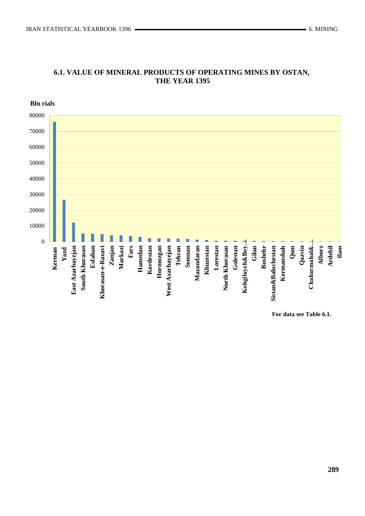

# **6.1. VALUE OF MINERAL PRODUCTS OF OPERATING MINES BY OSTAN, THE YEAR 1395**

**For data see Table 6.1.**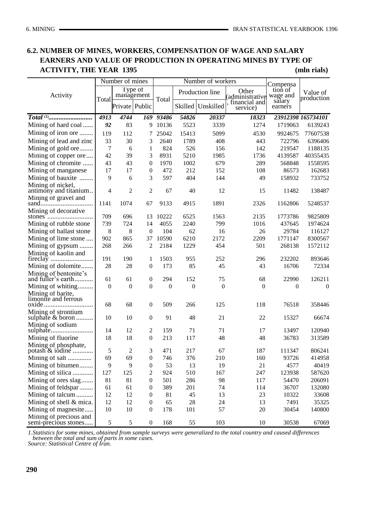# **6.2. NUMBER OF MINES, WORKERS, COMPENSATION OF WAGE AND SALARY EARNERS AND VALUE OF PRODUCTION IN OPERATING MINES BY TYPE OF ACTIVITY, THE YEAR 1395 (mln rials)**

|                                                |                  | Number of mines       |                  | Number of workers |                  |                 | Compensa                  |                     |                        |
|------------------------------------------------|------------------|-----------------------|------------------|-------------------|------------------|-----------------|---------------------------|---------------------|------------------------|
| Activity                                       |                  | Type of<br>management |                  |                   |                  | Production line | Other<br>(administrative  | tion of<br>wage and | Value of<br>production |
|                                                | Total            | Private Public        |                  | Total             | Skilled          | Unskilled       | financial and<br>service) | salary<br>earners   |                        |
|                                                | 4913             | 4744                  |                  | 169 93486         | 54826            | 20337           | 18323                     |                     | 23912398 165734101     |
| Mining of hard coal                            | 92               | 83                    |                  | 9 10136           | 5523             | 3339            | 1274                      | 1719063             | 6139243                |
| Mining of iron ore                             | 119              | 112                   | 7                | 25042             | 15413            | 5099            | 4530                      | 9924675             | 77607538               |
| Mining of lead and zinc                        | 33               | 30                    | 3                | 2640              | 1789             | 408             | 443                       | 722796              | 6396406                |
| Mining of gold ore                             | 7                | 6                     | 1                | 824               | 526              | 156             | 142                       | 219547              | 1188135                |
| Mining of copper ore                           | 42               | 39                    | 3                | 8931              | 5210             | 1985            | 1736                      | 4139587             | 40355435               |
| Mining of chromite                             | 43               | 43                    | 0                | 1970              | 1002             | 679             | 289                       | 568848              | 1558595                |
| Mining of manganese                            | 17               | 17                    | 0                | 472               | 212              | 152             | 108                       | 86573               | 162683                 |
| Mining of bauxite                              | 9                | 6                     | 3                | 597               | 404              | 144             | 49                        | 158932              | 733752                 |
| Mining of nickel,                              |                  |                       |                  |                   |                  |                 |                           |                     |                        |
| antimony and titanium                          | $\overline{4}$   | $\overline{2}$        | $\overline{2}$   | 67                | 40               | 12              | 15                        | 11482               | 138487                 |
| Mining of gravel and                           |                  |                       |                  |                   |                  |                 |                           |                     |                        |
|                                                | 1141             | 1074                  | 67               | 9133              | 4915             | 1891            | 2326                      | 1162806             | 5248537                |
| Mining of decorative                           | 709              | 696                   | 13               | 10222             | 6525             | 1563            | 2135                      | 1773786             | 9825809                |
| Mining of rubble stone                         | 739              | 724                   | 14               | 4055              | 2240             | 799             | 1016                      | 437645              | 1974624                |
| Mining of ballast stone                        | 8                | 8                     | $\boldsymbol{0}$ | 104               | 62               | 16              | 26                        | 29784               | 116127                 |
| Mining of lime stone                           | 902              | 865                   | 37               | 10590             | 6210             | 2172            | 2209                      | 1771147             | 8300567                |
| Mining of gypsum                               | 268              | 266                   | $\overline{c}$   | 2184              | 1229             | 454             | 501                       | 268138              | 1572112                |
| Mining of kaolin and                           |                  |                       |                  |                   |                  |                 |                           |                     |                        |
|                                                | 191              | 190                   | 1                | 1503              | 955              | 252             | 296                       | 232202              | 893646                 |
| Mining of dolomite                             | 28               | 28                    | $\boldsymbol{0}$ | 173               | 85               | 45              | 43                        | 16706               | 72334                  |
| Mining of bentonite's                          |                  |                       |                  |                   |                  |                 |                           |                     |                        |
| and fuller's earth<br>.                        | 61               | 61                    | 0                | 294               | 152              | 75              | 68                        | 22990               | 126211                 |
| Mining of whiting                              | $\boldsymbol{0}$ | $\overline{0}$        | $\boldsymbol{0}$ | $\boldsymbol{0}$  | $\boldsymbol{0}$ | $\mathbf{0}$    | $\boldsymbol{0}$          | $\mathbf{0}$        | $\boldsymbol{0}$       |
| Mining of barite,                              |                  |                       |                  |                   |                  |                 |                           |                     |                        |
| limonite and ferrous                           |                  |                       |                  |                   |                  |                 |                           |                     |                        |
|                                                | 68               | 68                    | $\boldsymbol{0}$ | 509               | 266              | 125             | 118                       | 76518               | 358446                 |
| Mining of strontium<br>sulphate & boron        | 10               | 10                    | $\boldsymbol{0}$ | 91                | 48               | 21              | 22                        | 15327               | 66674                  |
| Mining of sodium                               |                  |                       |                  |                   |                  |                 |                           |                     |                        |
| sulphate                                       | 14               | 12                    | $\mathbf{2}$     | 159               | 71               | 71              | 17                        | 13497               | 120940                 |
| Mining of fluorine                             | 18               | 18                    | $\overline{0}$   | 213               | 117              | 48              | 48                        | 36783               | 313589                 |
| Mining of phosphate,                           |                  |                       |                  |                   |                  |                 |                           |                     |                        |
| potash & iodine                                | 5                | $\overline{c}$        | 3                | 471               | 217              | 67              | 187                       | 111347              | 806241                 |
| Mining of salt                                 | 69               | 69                    | $\boldsymbol{0}$ | 746               | 376              | 210             | 160                       | 93726               | 414958                 |
| Mining of bitumen                              | 9                | 9                     | $\boldsymbol{0}$ | 53                | 13               | 19              | 21                        | 4577                | 40419                  |
| Mining of silica                               | 127              | 125                   | 2                | 924               | 510              | 167             | 247                       | 123938              | 587620                 |
| Mining of ores slag                            | 81               | 81                    | 0                | 501               | 286              | 98              | 117                       | 54470               | 206091                 |
| Mining of feldspar                             | 61               | 61                    | 0                | 389               | 201              | 74              | 114                       | 36707               | 132080                 |
| Mining of talcum                               | 12               | 12                    | 0                | 81                | 45               | 13              | 23                        | 10322               | 33608                  |
| Mining of shell & mica.                        | 12               | 12                    | 0                | 65                | 28               | 24              | 13                        | 7491                | 35325                  |
| Mining of magnesite                            | 10               | 10                    | $\boldsymbol{0}$ | 178               | 101              | 57              | 20                        | 30454               | 140800                 |
| Mining of precious and<br>semi-precious stones | $\sqrt{5}$       | $\sqrt{5}$            | $\boldsymbol{0}$ | 168               | 55               | 103             | 10                        | 30538               | 67069                  |

*1.Statistics for some mines, obtained from sample surveys were generalized to the total country and caused differences between the total and sum of parts in some cases.*

*Source: Statistical Centre of Iran.*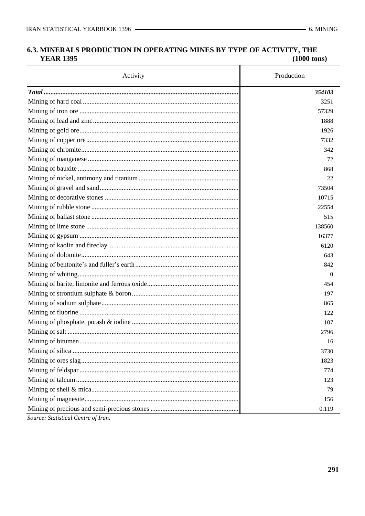#### 6.3. MINERALS PRODUCTION IN OPERATING MINES BY TYPE OF ACTIVITY, THE **YEAR 1395**  $(1000$  tons)

| Activity | Production |
|----------|------------|
|          | 354103     |
|          | 3251       |
|          | 57329      |
|          | 1888       |
|          | 1926       |
|          | 7332       |
|          | 342        |
|          | 72         |
|          | 868        |
|          | 22         |
|          | 73504      |
|          | 10715      |
|          | 22554      |
|          | 515        |
|          | 138560     |
|          | 16377      |
|          | 6120       |
|          | 643        |
|          | 842        |
|          | $\theta$   |
|          | 454        |
|          | 197        |
|          | 865        |
|          | 122        |
|          | 107        |
|          | 2796       |
|          | 16         |
|          | 3730       |
|          | 1823       |
|          | 774        |
|          | 123        |
|          | 79         |
|          | 156        |
|          | 0.119      |

Source: Statistical Centre of Iran.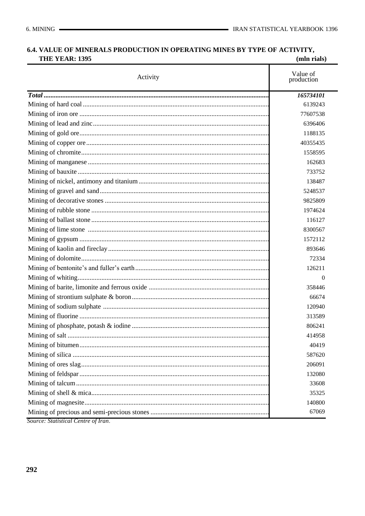#### 6.4. VALUE OF MINERALS PRODUCTION IN OPERATING MINES BY TYPE OF ACTIVITY, **THE YEAR: 1395**  $(mln$  rials)

|                                     | (пши ткию <i>)</i>     |
|-------------------------------------|------------------------|
| Activity                            | Value of<br>production |
|                                     | 165734101              |
|                                     | 6139243                |
|                                     | 77607538               |
|                                     | 6396406                |
|                                     | 1188135                |
|                                     | 40355435               |
|                                     | 1558595                |
|                                     | 162683                 |
|                                     | 733752                 |
|                                     | 138487                 |
|                                     | 5248537                |
|                                     | 9825809                |
|                                     | 1974624                |
|                                     | 116127                 |
|                                     | 8300567                |
|                                     | 1572112                |
|                                     | 893646                 |
|                                     | 72334                  |
|                                     | 126211                 |
|                                     | $\Omega$               |
|                                     | 358446                 |
|                                     | 66674                  |
|                                     | 120940                 |
|                                     | 313589                 |
|                                     | 806241                 |
|                                     | 414958                 |
|                                     | 40419                  |
|                                     | 587620                 |
|                                     | 206091                 |
|                                     | 132080                 |
|                                     | 33608                  |
|                                     | 35325                  |
|                                     | 140800                 |
|                                     | 67069                  |
| Source: Statistical Centre of Iran. |                        |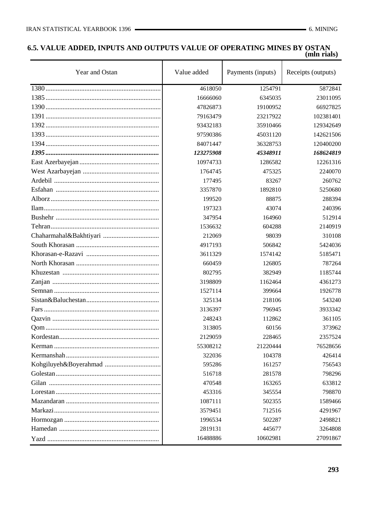### **6.5. VALUE ADDED, INPUTS AND OUTPUTS VALUE OF OPERATING MINES BY OSTAN (mln rials)**

| Year and Ostan | Value added | Payments (inputs) | Receipts (outputs) |
|----------------|-------------|-------------------|--------------------|
|                | 4618050     | 1254791           | 5872841            |
|                | 16666060    | 6345035           | 23011095           |
|                | 47826873    | 19100952          | 66927825           |
|                | 79163479    | 23217922          | 102381401          |
|                | 93432183    | 35910466          | 129342649          |
|                | 97590386    | 45031120          | 142621506          |
|                | 84071447    | 36328753          | 120400200          |
|                | 123275908   | 45348911          | 168624819          |
|                | 10974733    | 1286582           | 12261316           |
|                | 1764745     | 475325            | 2240070            |
|                | 177495      | 83267             | 260762             |
|                | 3357870     | 1892810           | 5250680            |
|                | 199520      | 88875             | 288394             |
|                | 197323      | 43074             | 240396             |
|                | 347954      | 164960            | 512914             |
|                | 1536632     | 604288            | 2140919            |
|                | 212069      | 98039             | 310108             |
|                | 4917193     | 506842            | 5424036            |
|                | 3611329     | 1574142           | 5185471            |
|                | 660459      | 126805            | 787264             |
|                | 802795      | 382949            | 1185744            |
|                | 3198809     | 1162464           | 4361273            |
|                | 1527114     | 399664            | 1926778            |
|                | 325134      | 218106            | 543240             |
|                | 3136397     | 796945            | 3933342            |
|                | 248243      | 112862            | 361105             |
|                | 313805      | 60156             | 373962             |
|                | 2129059     | 228465            | 2357524            |
|                | 55308212    | 21220444          | 76528656           |
|                | 322036      | 104378            | 426414             |
|                | 595286      | 161257            | 756543             |
|                | 516718      | 281578            | 798296             |
|                | 470548      | 163265            | 633812             |
|                | 453316      | 345554            | 798870             |
|                | 1087111     | 502355            | 1589466            |
|                | 3579451     | 712516            | 4291967            |
|                | 1996534     | 502287            | 2498821            |
|                | 2819131     | 445677            | 3264808            |
|                | 16488886    | 10602981          | 27091867           |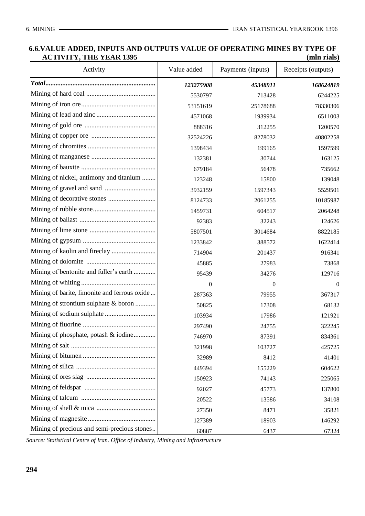### **6.6.VALUE ADDED, INPUTS AND OUTPUTS VALUE OF OPERATING MINES BY TYPE OF ACTIVITY, THE YEAR 1395 (mln rials)**

| Activity                                     | Value added | Payments (inputs) | Receipts (outputs) |
|----------------------------------------------|-------------|-------------------|--------------------|
|                                              | 123275908   | 45348911          | 168624819          |
|                                              | 5530797     | 713428            | 6244225            |
|                                              | 53151619    | 25178688          | 78330306           |
|                                              | 4571068     | 1939934           | 6511003            |
|                                              | 888316      | 312255            | 1200570            |
|                                              | 32524226    | 8278032           | 40802258           |
|                                              | 1398434     | 199165            | 1597599            |
|                                              | 132381      | 30744             | 163125             |
|                                              | 679184      | 56478             | 735662             |
| Mining of nickel, antimony and titanium      | 123248      | 15800             | 139048             |
|                                              | 3932159     | 1597343           | 5529501            |
|                                              | 8124733     | 2061255           | 10185987           |
|                                              | 1459731     | 604517            | 2064248            |
|                                              | 92383       | 32243             | 124626             |
|                                              | 5807501     | 3014684           | 8822185            |
|                                              | 1233842     | 388572            | 1622414            |
|                                              | 714904      | 201437            | 916341             |
|                                              | 45885       | 27983             | 73868              |
| Mining of bentonite and fuller's earth       | 95439       | 34276             | 129716             |
|                                              | $\theta$    | $\overline{0}$    | $\overline{0}$     |
| Mining of barite, limonite and ferrous oxide | 287363      | 79955             | 367317             |
| Mining of strontium sulphate & boron         | 50825       | 17308             | 68132              |
|                                              | 103934      | 17986             | 121921             |
|                                              | 297490      | 24755             | 322245             |
| Mining of phosphate, potash & iodine         | 746970      | 87391             | 834361             |
|                                              | 321998      | 103727            | 425725             |
|                                              | 32989       | 8412              | 41401              |
|                                              | 449394      | 155229            | 604622             |
|                                              | 150923      | 74143             | 225065             |
|                                              | 92027       | 45773             | 137800             |
|                                              | 20522       | 13586             | 34108              |
|                                              | 27350       | 8471              | 35821              |
|                                              | 127389      | 18903             | 146292             |
| Mining of precious and semi-precious stones  | 60887       | 6437              | 67324              |

......................................................................... *Source: Statistical Centre of Iran. Office of Industry, Mining and Infrastructure*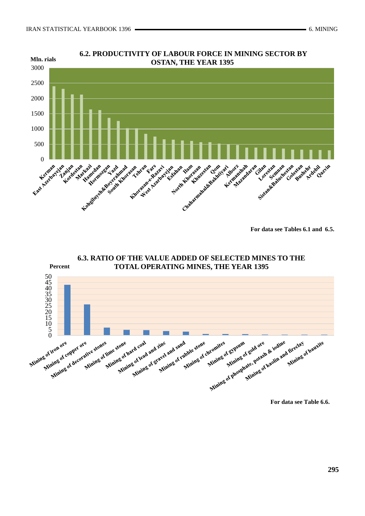



**For data see Tables 6.1 and 6.5.**



**6.3. RATIO OF THE VALUE ADDED OF SELECTED MINES TO THE**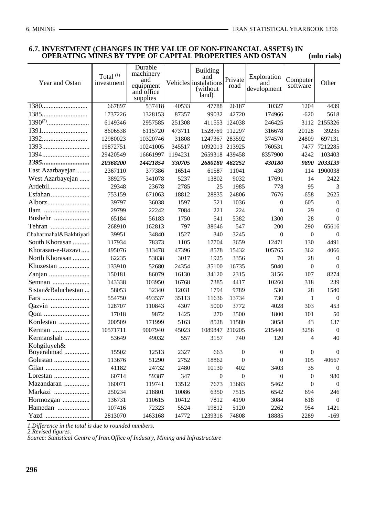### **6.7. INVESTMENT (CHANGES IN THE VALUE OF NON-FINANCIAL ASSETS) IN OPERATING MINES BY TYPE OF CAPITAL PROPERTIES AND OSTAN** (mln rials)

| Year and Ostan            | Total <sup>(1)</sup><br>investment | Durable<br>machinery<br>and<br>equipment<br>and office<br>supplies |         | <b>Building</b><br>and<br>Vehicles instalations<br>(without)<br>land) | Private<br>road  | Exploration<br>and<br>development | Computer<br>software | Other            |
|---------------------------|------------------------------------|--------------------------------------------------------------------|---------|-----------------------------------------------------------------------|------------------|-----------------------------------|----------------------|------------------|
|                           | 667897                             | 537418                                                             | 40533   | 47788                                                                 | 26187            | 10327                             | 1204                 | 4439             |
| 1385                      | 1737226                            | 1328153                                                            | 87357   | 99032                                                                 | 42720            | 174966                            | $-620$               | 5618             |
|                           | 6149346                            | 2957585                                                            | 251308  |                                                                       | 411553 124038    | 246425                            |                      | 3112 2155326     |
|                           | 8606538                            | 6115720                                                            | 473711  | 1528769                                                               | 112297           | 316678                            | 20128                | 39235            |
|                           | 12980023                           | 10320746                                                           | 31808   | 1247367                                                               | 283592           | 374570                            | 24809                | 697131           |
|                           | 19872751                           | 10241005                                                           | 345517  | 1092013 213925                                                        |                  | 760531                            | 7477                 | 7212285          |
|                           | 29420549                           | 16661997                                                           | 1194231 | 2659318 439458                                                        |                  | 8357900                           | 4242                 | 103403           |
| 1395                      | 20368200                           | 14421854                                                           | 330705  | 2680180 462252                                                        |                  | 430180                            |                      | 9890 2033139     |
| East Azarbayejan          | 2367110                            | 377386                                                             | 16514   | 61587                                                                 | 11041            | 430                               |                      | 114 1900038      |
| West Azarbayejan          | 389275                             | 341078                                                             | 5237    | 13802                                                                 | 9032             | 17691                             | 14                   | 2422             |
| Ardebil                   | 29348                              | 23678                                                              | 2785    | 25                                                                    | 1985             | 778                               | 95                   | 3                |
| Esfahan                   | 753159                             | 671063                                                             | 18812   | 28835                                                                 | 24806            | 7676                              | $-658$               | 2625             |
| Alborz                    | 39797                              | 36038                                                              | 1597    | 521                                                                   | 1036             | $\theta$                          | 605                  | $\boldsymbol{0}$ |
| Ilam                      | 29799                              | 22242                                                              | 7084    | 221                                                                   | 224              | $\theta$                          | 29                   | $\Omega$         |
| Bushehr                   | 65184                              | 56183                                                              | 1750    | 541                                                                   | 5382             | 1300                              | 28                   | $\Omega$         |
| Tehran                    | 268910                             | 162813                                                             | 797     | 38646                                                                 | 547              | 200                               | 290                  | 65616            |
| Chaharmahal&Bakhtiyari    | 39951                              | 34840                                                              | 1527    | 340                                                                   | 3245             | $\theta$                          | $\boldsymbol{0}$     | $\mathbf{0}$     |
| South Khorasan            | 117934                             | 78373                                                              | 1105    | 17704                                                                 | 3659             | 12471                             | 130                  | 4491             |
| Khorasan-e-Razavi         | 495076                             | 313478                                                             | 47396   | 8578                                                                  | 15432            | 105765                            | 362                  | 4066             |
| North Khorasan            | 62235                              | 53838                                                              | 3017    | 1925                                                                  | 3356             | 70                                | 28                   | $\overline{0}$   |
| Khuzestan                 | 133910                             | 52680                                                              | 24354   | 35100                                                                 | 16735            | 5040                              | $\boldsymbol{0}$     | $\mathbf{0}$     |
|                           | 150181                             | 86079                                                              | 16130   | 34120                                                                 | 2315             | 3156                              | 107                  | 8274             |
| Semnan                    | 143338                             | 103950                                                             | 16768   | 7385                                                                  | 4417             | 10260                             | 318                  | 239              |
| Sistan&Baluchestan        | 58053                              | 32340                                                              | 12031   | 1794                                                                  | 9789             | 530                               | 28                   | 1540             |
| Fars                      | 554750                             | 493537                                                             | 35113   | 11636                                                                 | 13734            | 730                               | 1                    | $\mathbf{0}$     |
| Qazvin                    | 128707                             | 110843                                                             | 4307    | 5000                                                                  | 3772             | 4028                              | 303                  | 453              |
|                           | 17018                              | 9872                                                               | 1425    | 270                                                                   | 3500             | 1800                              | 101                  | 50               |
| Kordestan                 | 200509                             | 171999                                                             | 5163    | 8528                                                                  | 11580            | 3058                              | 43                   | 137              |
| Kerman                    | 10571711                           | 9007940                                                            | 45023   | 1089847 210205                                                        |                  | 215440                            | 3256                 | $\boldsymbol{0}$ |
| Kermanshah                | 53649                              | 49032                                                              | 557     | 3157                                                                  | 740              | 120                               | $\overline{4}$       | 40               |
| Kohgiluyeh&<br>Boyerahmad | 15502                              | 12513                                                              | 2327    | 663                                                                   | $\boldsymbol{0}$ | $\boldsymbol{0}$                  | $\boldsymbol{0}$     | $\boldsymbol{0}$ |
| Golestan                  | 113676                             | 51290                                                              | 2752    | 18862                                                                 | $\theta$         | $\theta$                          | 105                  | 40667            |
|                           | 41182                              | 24732                                                              | 2480    | 10130                                                                 | 402              | 3403                              | 35                   | $\boldsymbol{0}$ |
| Lorestan                  | 60714                              | 59387                                                              | 347     | 0                                                                     | $\theta$         | $\boldsymbol{0}$                  | $\boldsymbol{0}$     | 980              |
| Mazandaran                | 160071                             | 119741                                                             | 13512   | 7673                                                                  | 13683            | 5462                              | $\boldsymbol{0}$     | $\mathbf{0}$     |
| Markazi                   | 250234                             | 218801                                                             | 10086   | 6350                                                                  | 7515             | 6542                              | 694                  | 246              |
| Hormozgan                 | 136731                             | 110615                                                             | 10412   | 7812                                                                  | 4190             | 3084                              | 618                  | $\boldsymbol{0}$ |
| Hamedan                   | 107416                             | 72323                                                              | 5524    | 19812                                                                 | 5120             | 2262                              | 954                  | 1421             |
| Yazd                      | 2813070                            | 1463168                                                            | 14772   | 1239316                                                               | 74808            | 18885                             | 2289                 | $-169$           |

*1.Difference in the total is due to rounded numbers.*

*2.Revised figures.*

*Source: Statistical Centre of Iran.Office of Industry, Mining and Infrastructure*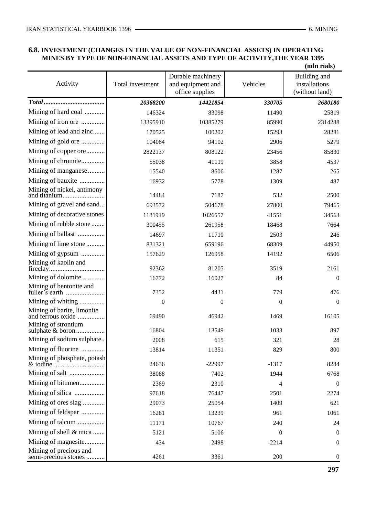# **6.8. INVESTMENT (CHANGES IN THE VALUE OF NON-FINANCIAL ASSETS) IN OPERATING MINES BY TYPE OF NON-FINANCIAL ASSETS AND TYPE OF ACTIVITY,THE YEAR 1395**

|                                                 |                  |                                                           |                  | (mln rials)                                     |
|-------------------------------------------------|------------------|-----------------------------------------------------------|------------------|-------------------------------------------------|
| Activity                                        | Total investment | Durable machinery<br>and equipment and<br>office supplies | Vehicles         | Building and<br>installations<br>(without land) |
|                                                 | 20368200         | 14421854                                                  | 330705           | 2680180                                         |
| Mining of hard coal                             | 146324           | 83098                                                     | 11490            | 25819                                           |
| Mining of iron ore                              | 13395910         | 10385279                                                  | 85990            | 2314288                                         |
| Mining of lead and zinc                         | 170525           | 100202                                                    | 15293            | 28281                                           |
| Mining of gold ore                              | 104064           | 94102                                                     | 2906             | 5279                                            |
| Mining of copper ore                            | 2822137          | 808122                                                    | 23456            | 85830                                           |
| Mining of chromite                              | 55038            | 41119                                                     | 3858             | 4537                                            |
| Mining of manganese                             | 15540            | 8606                                                      | 1287             | 265                                             |
| Mining of bauxite                               | 16932            | 5778                                                      | 1309             | 487                                             |
| Mining of nickel, antimony                      | 14484            | 7187                                                      | 532              | 2500                                            |
| Mining of gravel and sand                       | 693572           | 504678                                                    | 27800            | 79465                                           |
| Mining of decorative stones                     | 1181919          | 1026557                                                   | 41551            | 34563                                           |
| Mining of rubble stone                          | 300455           | 261958                                                    | 18468            | 7664                                            |
| Mining of ballast                               | 14697            | 11710                                                     | 2503             | 246                                             |
| Mining of lime stone                            | 831321           | 659196                                                    | 68309            | 44950                                           |
| Mining of gypsum                                | 157629           | 126958                                                    | 14192            | 6506                                            |
| Mining of kaolin and                            | 92362            | 81205                                                     | 3519             | 2161                                            |
| Mining of dolomite                              | 16772            | 16027                                                     | 84               | $\theta$                                        |
| Mining of bentonite and                         | 7352             | 4431                                                      | 779              | 476                                             |
| Mining of whiting                               | $\boldsymbol{0}$ | $\boldsymbol{0}$                                          | $\boldsymbol{0}$ | $\Omega$                                        |
| Mining of barite, limonite<br>and ferrous oxide | 69490            | 46942                                                     | 1469             | 16105                                           |
| Mining of strontium<br>sulphate & boron         | 16804            | 13549                                                     | 1033             | 897                                             |
| Mining of sodium sulphate                       | 2008             | 615                                                       | 321              | 28                                              |
| Mining of fluorine                              | 13814            | 11351                                                     | 829              | 800                                             |
| Mining of phosphate, potash                     | 24636            | $-22997$                                                  | $-1317$          | 8284                                            |
|                                                 | 38088            | 7402                                                      | 1944             | 6768                                            |
| Mining of bitumen                               | 2369             | 2310                                                      | 4                | $\theta$                                        |
| Mining of silica                                | 97618            | 76447                                                     | 2501             | 2274                                            |
| Mining of ores slag                             | 29073            | 25054                                                     | 1409             | 621                                             |
| Mining of feldspar                              | 16281            | 13239                                                     | 961              | 1061                                            |
| Mining of talcum                                | 11171            | 10767                                                     | 240              | 24                                              |
| Mining of shell & mica                          | 5121             | 5106                                                      | $\theta$         | $\theta$                                        |
| Mining of magnesite                             | 434              | 2498                                                      | $-2214$          | $\boldsymbol{0}$                                |
| Mining of precious and<br>semi-precious stones  | 4261             | 3361                                                      | 200              | $\mathbf{0}$                                    |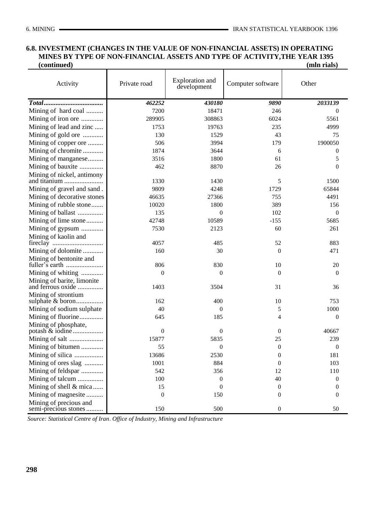### **6.8. INVESTMENT (CHANGES IN THE VALUE OF NON-FINANCIAL ASSETS) IN OPERATING MINES BY TYPE OF NON-FINANCIAL ASSETS AND TYPE OF ACTIVITY,THE YEAR 1395**   $(continued)$

| (mln rials) |  |
|-------------|--|
|             |  |

| Activity                                       | Private road     | Exploration and<br>development | Computer software | Other            |
|------------------------------------------------|------------------|--------------------------------|-------------------|------------------|
|                                                | 462252           | 430180                         | 9890              | 2033139          |
| Mining of hard coal                            | 7200             | 18471                          | 246               | 0                |
| Mining of iron ore                             | 289905           | 308863                         | 6024              | 5561             |
| Mining of lead and zinc                        | 1753             | 19763                          | 235               | 4999             |
| Mining of gold ore                             | 130              | 1529                           | 43                | 75               |
| Mining of copper ore                           | 506              | 3994                           | 179               | 1900050          |
| Mining of chromite                             | 1874             | 3644                           | 6                 | $\boldsymbol{0}$ |
| Mining of manganese                            | 3516             | 1800                           | 61                | 5                |
| Mining of bauxite                              | 462              | 8870                           | 26                | $\overline{0}$   |
| Mining of nickel, antimony                     |                  |                                |                   |                  |
|                                                | 1330             | 1430                           | 5                 | 1500             |
| Mining of gravel and sand.                     | 9809             | 4248                           | 1729              | 65844            |
| Mining of decorative stones                    | 46635            | 27366                          | 755               | 4491             |
| Mining of rubble stone                         | 10020            | 1800                           | 389               | 156              |
| Mining of ballast                              | 135              | $\boldsymbol{0}$               | 102               | $\mathbf{0}$     |
| Mining of lime stone                           | 42748            | 10589                          | $-155$            | 5685             |
| Mining of gypsum                               | 7530             | 2123                           | 60                | 261              |
| Mining of kaolin and                           |                  |                                |                   |                  |
|                                                | 4057             | 485                            | 52                | 883              |
| Mining of dolomite                             | 160              | 30                             | $\theta$          | 471              |
| Mining of bentonite and                        | 806              | 830                            | 10                | 20               |
| Mining of whiting                              | 0                | $\boldsymbol{0}$               | $\theta$          | $\mathbf{0}$     |
| Mining of barite, limonite                     |                  |                                |                   |                  |
| and ferrous oxide                              | 1403             | 3504                           | 31                | 36               |
| Mining of strontium                            |                  |                                |                   |                  |
| sulphate & boron                               | 162              | 400                            | 10                | 753              |
| Mining of sodium sulphate                      | 40               | $\theta$                       | 5                 | 1000             |
| Mining of fluorine                             | 645              | 185                            | 4                 | $\boldsymbol{0}$ |
| Mining of phosphate,                           |                  |                                |                   |                  |
|                                                | $\overline{0}$   | $\theta$                       | $\theta$          | 40667            |
|                                                | 15877            | 5835                           | 25                | 239              |
| Mining of bitumen                              | 55               | $\boldsymbol{0}$               | $\boldsymbol{0}$  | $\boldsymbol{0}$ |
| Mining of silica                               | 13686            | 2530                           | $\theta$          | 181              |
| Mining of ores slag                            | 1001             | 884                            | $\Omega$          | 103              |
| Mining of feldspar                             | 542              | 356                            | 12                | 110              |
| Mining of talcum                               | 100              | $\boldsymbol{0}$               | 40                | 0                |
| Mining of shell & mica                         | 15               | $\Omega$                       | $\mathbf{0}$      | $\mathbf{0}$     |
| Mining of magnesite                            | $\boldsymbol{0}$ | 150                            | $\boldsymbol{0}$  | $\mathbf{0}$     |
| Mining of precious and<br>semi-precious stones | 150              | 500                            | $\boldsymbol{0}$  | 50               |

*Source: Statistical Centre of Iran*. *Office of Industry, Mining and Infrastructure*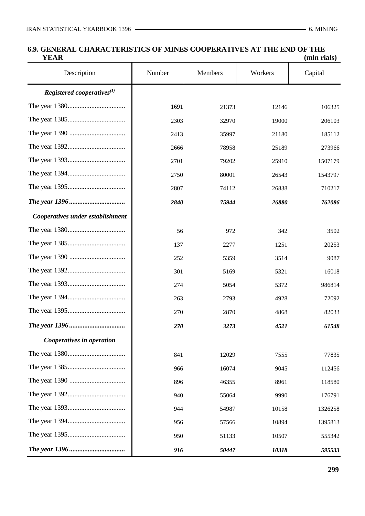## **6.9. GENERAL CHARACTERISTICS OF MINES COOPERATIVES AT THE END OF THE**<br> *(mln rials)*  **YEAR (mln rials)**

| -----                            |        |         |         | ппп гипэ |
|----------------------------------|--------|---------|---------|----------|
| Description                      | Number | Members | Workers | Capital  |
| Registered cooperatives $^{(1)}$ |        |         |         |          |
|                                  | 1691   | 21373   | 12146   | 106325   |
|                                  | 2303   | 32970   | 19000   | 206103   |
|                                  | 2413   | 35997   | 21180   | 185112   |
|                                  | 2666   | 78958   | 25189   | 273966   |
|                                  | 2701   | 79202   | 25910   | 1507179  |
|                                  | 2750   | 80001   | 26543   | 1543797  |
|                                  | 2807   | 74112   | 26838   | 710217   |
|                                  | 2840   | 75944   | 26880   | 762086   |
| Cooperatives under establishment |        |         |         |          |
|                                  | 56     | 972     | 342     | 3502     |
|                                  | 137    | 2277    | 1251    | 20253    |
|                                  | 252    | 5359    | 3514    | 9087     |
|                                  | 301    | 5169    | 5321    | 16018    |
|                                  | 274    | 5054    | 5372    | 986814   |
|                                  | 263    | 2793    | 4928    | 72092    |
|                                  | 270    | 2870    | 4868    | 82033    |
|                                  | 270    | 3273    | 4521    | 61548    |
| Cooperatives in operation        |        |         |         |          |
|                                  | 841    | 12029   | 7555    | 77835    |
|                                  | 966    | 16074   | 9045    | 112456   |
|                                  | 896    | 46355   | 8961    | 118580   |
|                                  | 940    | 55064   | 9990    | 176791   |
|                                  | 944    | 54987   | 10158   | 1326258  |
|                                  | 956    | 57566   | 10894   | 1395813  |
|                                  | 950    | 51133   | 10507   | 555342   |
|                                  | 916    | 50447   | 10318   | 595533   |